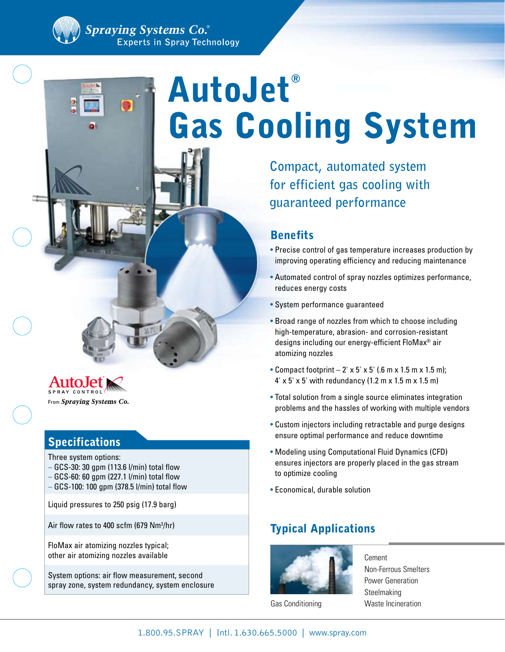# AutoJet® Gas Cooling System

**Compact, automated system for efficient gas cooling with guaranteed performance**

## **Benefits**

- Precise control of gas temperature increases production by improving operating efficiency and reducing maintenance
- Automated control of spray nozzles optimizes performance, reduces energy costs
- System performance guaranteed
- Broad range of nozzles from which to choose including high-temperature, abrasion- and corrosion-resistant designs including our energy-efficient FloMax® air atomizing nozzles
- Compact footprint  $-2' \times 5' \times 5'$  (.6 m x 1.5 m x 1.5 m); 4' x 5' x 5' with redundancy (1.2 m x 1.5 m x 1.5 m)
- Total solution from a single source eliminates integration problems and the hassles of working with multiple vendors
- Custom injectors including retractable and purge designs ensure optimal performance and reduce downtime
- Modeling using Computational Fluid Dynamics (CFD) ensures injectors are properly placed in the gas stream to optimize cooling
- Economical, durable solution

# Typical Applications



Gas Conditioning

Cement Non-Ferrous Smelters Power Generation Steelmaking Waste Incineration

From Spraying Systems Co.

## Specifications

Three system options:

- GCS-30: 30 gpm (113.6 l/min) total flow
- GCS-60: 60 gpm (227.1 l/min) total flow
- GCS-100: 100 gpm (378.5 l/min) total flow
- Liquid pressures to 250 psig (17.9 barg)

Air flow rates to 400 scfm (679 Nm3 /hr)

FloMax air atomizing nozzles typical; other air atomizing nozzles available

System options: air flow measurement, second spray zone, system redundancy, system enclosure

1.800.95.SPRAY | Intl. 1.630.665.5000 | www.spray.com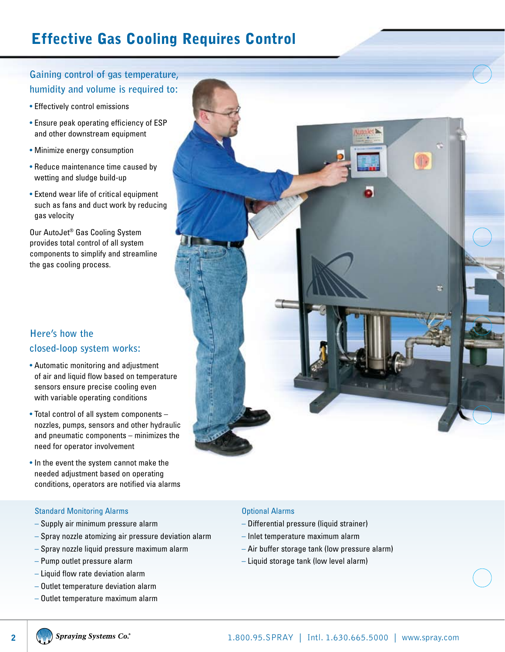# Effective Gas Cooling Requires Control

## **Gaining control of gas temperature, humidity and volume is required to:**

- Effectively control emissions
- Ensure peak operating efficiency of ESP and other downstream equipment
- Minimize energy consumption
- Reduce maintenance time caused by wetting and sludge build-up
- Extend wear life of critical equipment such as fans and duct work by reducing gas velocity

Our AutoJet® Gas Cooling System provides total control of all system components to simplify and streamline the gas cooling process.

## **Here's how the closed-loop system works:**

- Automatic monitoring and adjustment of air and liquid flow based on temperature sensors ensure precise cooling even with variable operating conditions
- Total control of all system components nozzles, pumps, sensors and other hydraulic and pneumatic components – minimizes the need for operator involvement
- In the event the system cannot make the needed adjustment based on operating conditions, operators are notified via alarms

#### Standard Monitoring Alarms

- Supply air minimum pressure alarm
- Spray nozzle atomizing air pressure deviation alarm
- Spray nozzle liquid pressure maximum alarm
- Pump outlet pressure alarm
- Liquid flow rate deviation alarm
- Outlet temperature deviation alarm
- Outlet temperature maximum alarm



#### Optional Alarms

- Differential pressure (liquid strainer)
- Inlet temperature maximum alarm
- Air buffer storage tank (low pressure alarm)
- Liquid storage tank (low level alarm)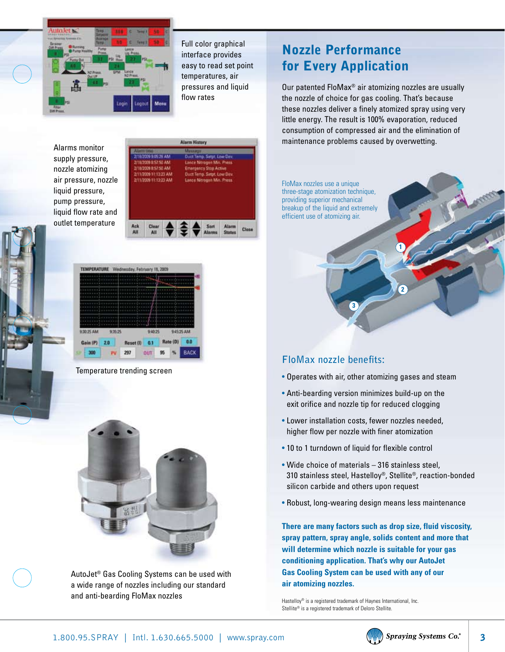

Full color graphical interface provides easy to read set point temperatures, air pressures and liquid flow rates

Alarms monitor supply pressure, nozzle atomizing air pressure, nozzle liquid pressure, pump pressure, liquid flow rate and outlet temperature





Temperature trending screen



AutoJet® Gas Cooling Systems can be used with a wide range of nozzles including our standard and anti-bearding FloMax nozzles

# Nozzle Performance for Every Application

Our patented FloMax® air atomizing nozzles are usually the nozzle of choice for gas cooling. That's because these nozzles deliver a finely atomized spray using very little energy. The result is 100% evaporation, reduced consumption of compressed air and the elimination of maintenance problems caused by overwetting.



## **FloMax nozzle benefits:**

- Operates with air, other atomizing gases and steam
- Anti-bearding version minimizes build-up on the exit orifice and nozzle tip for reduced clogging
- Lower installation costs, fewer nozzles needed, higher flow per nozzle with finer atomization
- 10 to 1 turndown of liquid for flexible control
- Wide choice of materials 316 stainless steel, 310 stainless steel, Hastelloy®, Stellite®, reaction-bonded silicon carbide and others upon request
- Robust, long-wearing design means less maintenance

**There are many factors such as drop size, fluid viscosity, spray pattern, spray angle, solids content and more that will determine which nozzle is suitable for your gas conditioning application. That's why our AutoJet Gas Cooling System can be used with any of our air atomizing nozzles.**

Hastelloy® is a registered trademark of Haynes International, Inc. Stellite® is a registered trademark of Deloro Stellite.